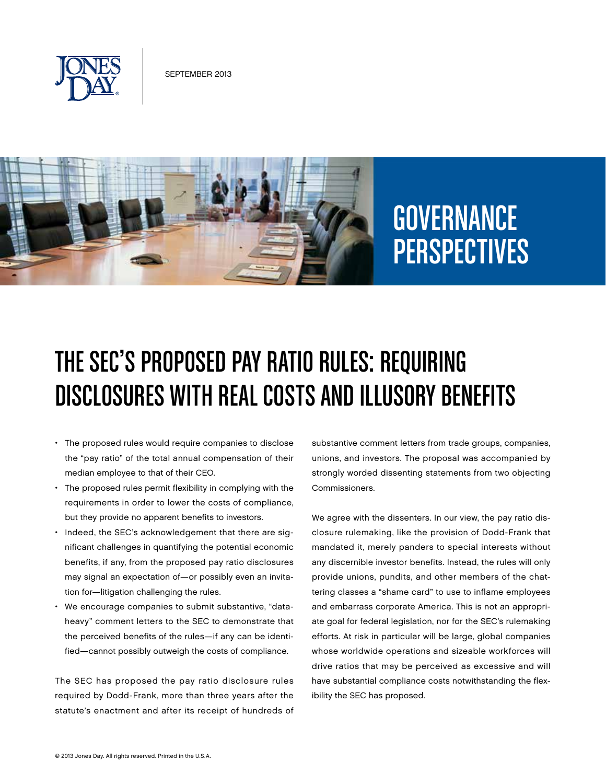



# **GOVERNANCE** PERSPECTIVES

## The SEC's Proposed Pay Ratio Rules: Requiring Disclosures with Real Costs and Illusory Benefits

- The proposed rules would require companies to disclose the "pay ratio" of the total annual compensation of their median employee to that of their CEO.
- • The proposed rules permit flexibility in complying with the requirements in order to lower the costs of compliance, but they provide no apparent benefits to investors.
- • Indeed, the SEC's acknowledgement that there are significant challenges in quantifying the potential economic benefits, if any, from the proposed pay ratio disclosures may signal an expectation of—or possibly even an invitation for—litigation challenging the rules.
- We encourage companies to submit substantive, "dataheavy" comment letters to the SEC to demonstrate that the perceived benefits of the rules—if any can be identified—cannot possibly outweigh the costs of compliance.

The SEC has proposed the pay ratio disclosure rules required by Dodd-Frank, more than three years after the statute's enactment and after its receipt of hundreds of

substantive comment letters from trade groups, companies, unions, and investors. The proposal was accompanied by strongly worded dissenting statements from two objecting Commissioners.

We agree with the dissenters. In our view, the pay ratio disclosure rulemaking, like the provision of Dodd-Frank that mandated it, merely panders to special interests without any discernible investor benefits. Instead, the rules will only provide unions, pundits, and other members of the chattering classes a "shame card" to use to inflame employees and embarrass corporate America. This is not an appropriate goal for federal legislation, nor for the SEC's rulemaking efforts. At risk in particular will be large, global companies whose worldwide operations and sizeable workforces will drive ratios that may be perceived as excessive and will have substantial compliance costs notwithstanding the flexibility the SEC has proposed.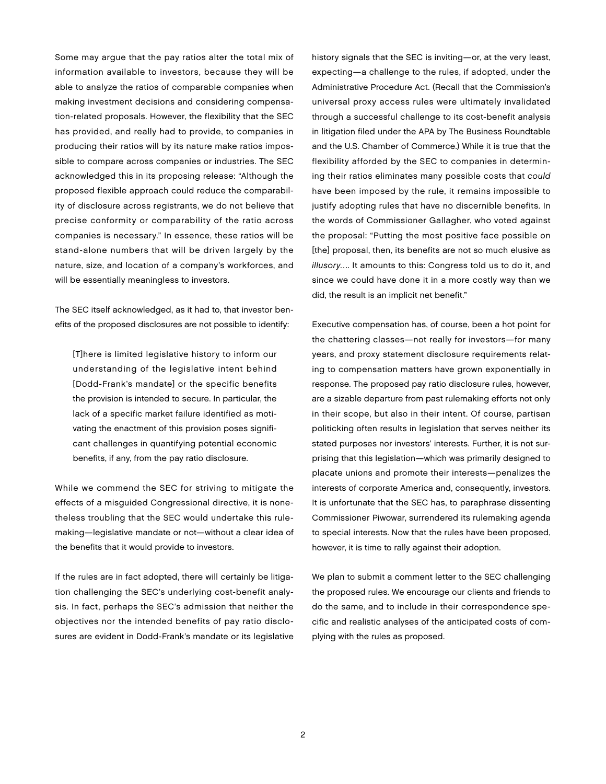Some may argue that the pay ratios alter the total mix of information available to investors, because they will be able to analyze the ratios of comparable companies when making investment decisions and considering compensation-related proposals. However, the flexibility that the SEC has provided, and really had to provide, to companies in producing their ratios will by its nature make ratios impossible to compare across companies or industries. The SEC acknowledged this in its proposing release: "Although the proposed flexible approach could reduce the comparability of disclosure across registrants, we do not believe that precise conformity or comparability of the ratio across companies is necessary." In essence, these ratios will be stand-alone numbers that will be driven largely by the nature, size, and location of a company's workforces, and will be essentially meaningless to investors.

The SEC itself acknowledged, as it had to, that investor benefits of the proposed disclosures are not possible to identify:

[T]here is limited legislative history to inform our understanding of the legislative intent behind [Dodd-Frank's mandate] or the specific benefits the provision is intended to secure. In particular, the lack of a specific market failure identified as motivating the enactment of this provision poses significant challenges in quantifying potential economic benefits, if any, from the pay ratio disclosure.

While we commend the SEC for striving to mitigate the effects of a misguided Congressional directive, it is nonetheless troubling that the SEC would undertake this rulemaking—legislative mandate or not—without a clear idea of the benefits that it would provide to investors.

If the rules are in fact adopted, there will certainly be litigation challenging the SEC's underlying cost-benefit analysis. In fact, perhaps the SEC's admission that neither the objectives nor the intended benefits of pay ratio disclosures are evident in Dodd-Frank's mandate or its legislative

history signals that the SEC is inviting—or, at the very least, expecting—a challenge to the rules, if adopted, under the Administrative Procedure Act. (Recall that the Commission's universal proxy access rules were ultimately invalidated through a successful challenge to its cost-benefit analysis in litigation filed under the APA by The Business Roundtable and the U.S. Chamber of Commerce.) While it is true that the flexibility afforded by the SEC to companies in determining their ratios eliminates many possible costs that *could* have been imposed by the rule, it remains impossible to justify adopting rules that have no discernible benefits. In the words of Commissioner Gallagher, who voted against the proposal: "Putting the most positive face possible on [the] proposal, then, its benefits are not so much elusive as *illusory*…. It amounts to this: Congress told us to do it, and since we could have done it in a more costly way than we did, the result is an implicit net benefit."

Executive compensation has, of course, been a hot point for the chattering classes—not really for investors—for many years, and proxy statement disclosure requirements relating to compensation matters have grown exponentially in response. The proposed pay ratio disclosure rules, however, are a sizable departure from past rulemaking efforts not only in their scope, but also in their intent. Of course, partisan politicking often results in legislation that serves neither its stated purposes nor investors' interests. Further, it is not surprising that this legislation—which was primarily designed to placate unions and promote their interests—penalizes the interests of corporate America and, consequently, investors. It is unfortunate that the SEC has, to paraphrase dissenting Commissioner Piwowar, surrendered its rulemaking agenda to special interests. Now that the rules have been proposed, however, it is time to rally against their adoption.

We plan to submit a comment letter to the SEC challenging the proposed rules. We encourage our clients and friends to do the same, and to include in their correspondence specific and realistic analyses of the anticipated costs of complying with the rules as proposed.